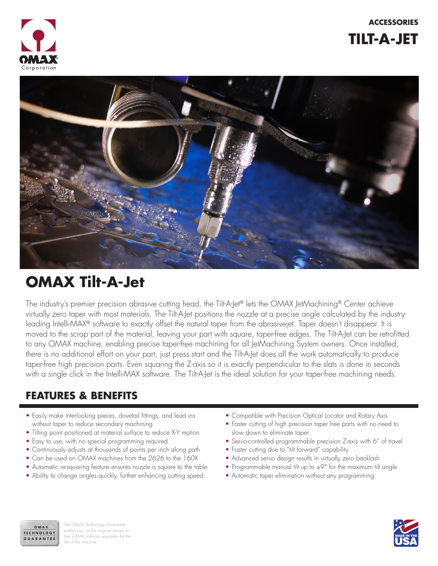**ACCESSORIES**



**TILT-A-JET**



# **OMAX Tilt-A-Jet**

The industry's premier precision abrasive cutting head, the Tilt-A-Jet® lets the OMAX JetMachining® Center achieve virtually zero taper with most materials. The Tilt-A-Jet positions the nozzle at a precise angle calculated by the industryleading Intelli-MAX® software to exactly offset the natural taper from the abrasivejet. Taper doesn't disappear. It is moved to the scrap part of the material, leaving your part with square, taper-free edges. The Tilt-A-Jet can be retrofitted to any OMAX machine, enabling precise taper-free machining for all JetMachining System owners. Once installed, there is no additional effort on your part, just press start and the Tilt-A-Jet does all the work automatically to produce taper-free high precision parts. Even squaring the Z-axis so it is exactly perpendicular to the slats is done in seconds with a single click in the Intelli-MAX software. The Tilt-A-Jet is the ideal solution for your taper-free machining needs.

### **FEATURES & BENEFITS**

- Easily make interlocking pieces, dovetail fittings, and lead ins without taper to reduce secondary machining
- Tilting point positioned at material surface to reduce X-Y motion
- Easy to use, with no special programming required
- Continuously adjusts at thousands of points per inch along path
- Can be used on OMAX machines from the 2626 to the 160X
- Automatic re-squaring feature ensures nozzle is square to the table
- Ability to change angles quickly, further enhancing cutting speed
- Compatible with Precision Optical Locator and Rotary Axis
- Faster cutting of high precision taper free parts with no need to slow down to eliminate taper
- Servo-controlled programmable precision Z-axis with 6" of travel
- Faster cutting due to "tilt forward" capability
- Advanced servo design results in virtually zero backlash
- Programmable manual tilt up to  $\pm 9^{\circ}$  for the maximum tilt angle
- Automatic taper elimination without any programming



*The OMAX Technology Guarantee entitles you, as the original owner, to free OMAX software upgrades for the life of the machine.*